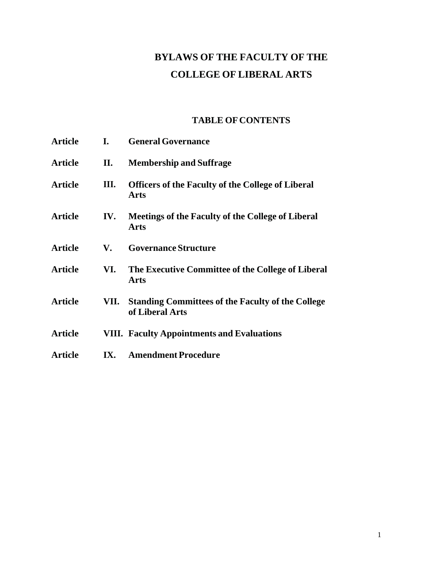# **BYLAWS OF THE FACULTY OF THE COLLEGE OF LIBERAL ARTS**

## **TABLE OFCONTENTS**

| <b>Article</b> | I.   | <b>General Governance</b>                                                   |
|----------------|------|-----------------------------------------------------------------------------|
| <b>Article</b> | П.   | <b>Membership and Suffrage</b>                                              |
| <b>Article</b> | Ш.   | <b>Officers of the Faculty of the College of Liberal</b><br><b>Arts</b>     |
| <b>Article</b> | IV.  | Meetings of the Faculty of the College of Liberal<br><b>Arts</b>            |
| <b>Article</b> | V.   | <b>Governance Structure</b>                                                 |
| <b>Article</b> | VI.  | The Executive Committee of the College of Liberal<br>Arts                   |
| <b>Article</b> | VII. | <b>Standing Committees of the Faculty of the College</b><br>of Liberal Arts |
| <b>Article</b> |      | <b>VIII.</b> Faculty Appointments and Evaluations                           |
| <b>Article</b> |      | IX. Amendment Procedure                                                     |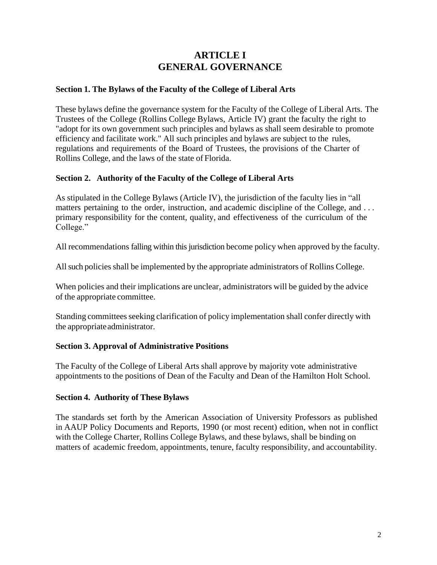## **ARTICLE I GENERAL GOVERNANCE**

## **Section 1. The Bylaws of the Faculty of the College of Liberal Arts**

These bylaws define the governance system for the Faculty of the College of Liberal Arts. The Trustees of the College (Rollins College Bylaws, Article IV) grant the faculty the right to "adopt for its own government such principles and bylaws as shall seem desirable to promote efficiency and facilitate work." All such principles and bylaws are subject to the rules, regulations and requirements of the Board of Trustees, the provisions of the Charter of Rollins College, and the laws of the state of Florida.

## **Section 2. Authority of the Faculty of the College of Liberal Arts**

As stipulated in the College Bylaws (Article IV), the jurisdiction of the faculty lies in "all matters pertaining to the order, instruction, and academic discipline of the College, and ... primary responsibility for the content, quality, and effectiveness of the curriculum of the College."

All recommendations falling within this jurisdiction become policy when approved by the faculty.

Allsuch policiesshall be implemented by the appropriate administrators of Rollins College.

When policies and their implications are unclear, administrators will be guided by the advice of the appropriate committee.

Standing committees seeking clarification of policy implementation shall confer directly with the appropriate administrator.

## **Section 3. Approval of Administrative Positions**

The Faculty of the College of Liberal Arts shall approve by majority vote administrative appointments to the positions of Dean of the Faculty and Dean of the Hamilton Holt School.

## **Section 4. Authority of These Bylaws**

The standards set forth by the American Association of University Professors as published in AAUP Policy Documents and Reports, 1990 (or most recent) edition, when not in conflict with the College Charter, Rollins College Bylaws, and these bylaws, shall be binding on matters of academic freedom, appointments, tenure, faculty responsibility, and accountability.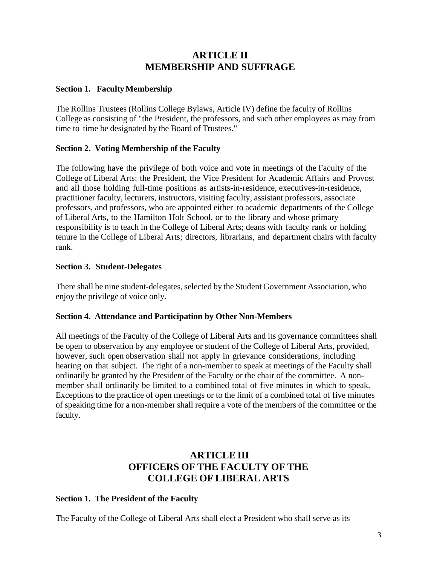## **ARTICLE II MEMBERSHIP AND SUFFRAGE**

## **Section 1. FacultyMembership**

The Rollins Trustees (Rollins College Bylaws, Article IV) define the faculty of Rollins College as consisting of "the President, the professors, and such other employees as may from time to time be designated by the Board of Trustees."

## **Section 2. Voting Membership of the Faculty**

The following have the privilege of both voice and vote in meetings of the Faculty of the College of Liberal Arts: the President, the Vice President for Academic Affairs and Provost and all those holding full-time positions as artists-in-residence, executives-in-residence, practitioner faculty, lecturers, instructors, visiting faculty, assistant professors, associate professors, and professors, who are appointed either to academic departments of the College of Liberal Arts, to the Hamilton Holt School, or to the library and whose primary responsibility is to teach in the College of Liberal Arts; deans with faculty rank or holding tenure in the College of Liberal Arts; directors, librarians, and department chairs with faculty rank.

## **Section 3. Student-Delegates**

There shall be nine student-delegates, selected by the Student Government Association, who enjoy the privilege of voice only.

## **Section 4. Attendance and Participation by Other Non-Members**

All meetings of the Faculty of the College of Liberal Arts and its governance committees shall be open to observation by any employee or student of the College of Liberal Arts, provided, however, such open observation shall not apply in grievance considerations, including hearing on that subject. The right of a non-member to speak at meetings of the Faculty shall ordinarily be granted by the President of the Faculty or the chair of the committee. A nonmember shall ordinarily be limited to a combined total of five minutes in which to speak. Exceptions to the practice of open meetings or to the limit of a combined total of five minutes of speaking time for a non-member shall require a vote of the members of the committee or the faculty.

## **ARTICLE III OFFICERS OF THE FACULTY OF THE COLLEGE OF LIBERAL ARTS**

## **Section 1. The President of the Faculty**

The Faculty of the College of Liberal Arts shall elect a President who shall serve as its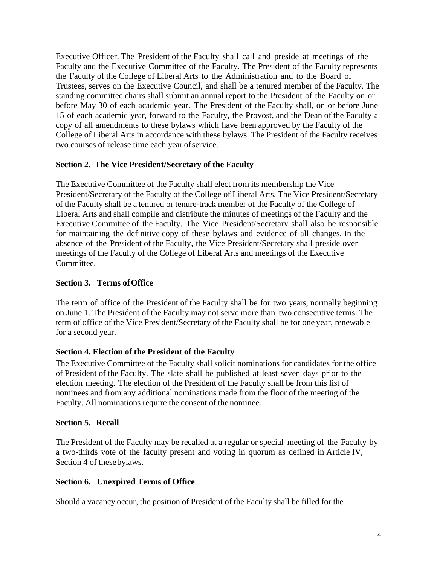Executive Officer. The President of the Faculty shall call and preside at meetings of the Faculty and the Executive Committee of the Faculty. The President of the Faculty represents the Faculty of the College of Liberal Arts to the Administration and to the Board of Trustees, serves on the Executive Council, and shall be a tenured member of the Faculty. The standing committee chairs shall submit an annual report to the President of the Faculty on or before May 30 of each academic year. The President of the Faculty shall, on or before June 15 of each academic year, forward to the Faculty, the Provost, and the Dean of the Faculty a copy of all amendments to these bylaws which have been approved by the Faculty of the College of Liberal Arts in accordance with these bylaws. The President of the Faculty receives two courses of release time each year ofservice.

## **Section 2. The Vice President/Secretary of the Faculty**

The Executive Committee of the Faculty shall elect from its membership the Vice President/Secretary of the Faculty of the College of Liberal Arts. The Vice President/Secretary of the Faculty shall be a tenured or tenure-track member of the Faculty of the College of Liberal Arts and shall compile and distribute the minutes of meetings of the Faculty and the Executive Committee of the Faculty. The Vice President/Secretary shall also be responsible for maintaining the definitive copy of these bylaws and evidence of all changes. In the absence of the President of the Faculty, the Vice President/Secretary shall preside over meetings of the Faculty of the College of Liberal Arts and meetings of the Executive Committee.

## **Section 3. Terms ofOffice**

The term of office of the President of the Faculty shall be for two years, normally beginning on June 1. The President of the Faculty may not serve more than two consecutive terms. The term of office of the Vice President/Secretary of the Faculty shall be for one year, renewable for a second year.

## **Section 4. Election of the President of the Faculty**

The Executive Committee of the Faculty shall solicit nominations for candidates for the office of President of the Faculty. The slate shall be published at least seven days prior to the election meeting. The election of the President of the Faculty shall be from this list of nominees and from any additional nominations made from the floor of the meeting of the Faculty. All nominations require the consent of the nominee.

## **Section 5. Recall**

The President of the Faculty may be recalled at a regular or special meeting of the Faculty by a two-thirds vote of the faculty present and voting in quorum as defined in Article IV, Section 4 of thesebylaws.

## **Section 6. Unexpired Terms of Office**

Should a vacancy occur, the position of President of the Faculty shall be filled for the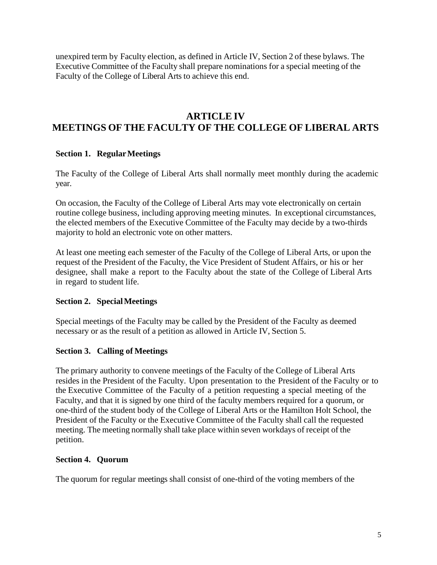unexpired term by Faculty election, as defined in Article IV, Section 2 of these bylaws. The Executive Committee of the Faculty shall prepare nominations for a special meeting of the Faculty of the College of Liberal Arts to achieve this end.

## **ARTICLE IV MEETINGS OF THE FACULTY OF THE COLLEGE OF LIBERAL ARTS**

## **Section 1. RegularMeetings**

The Faculty of the College of Liberal Arts shall normally meet monthly during the academic year.

On occasion, the Faculty of the College of Liberal Arts may vote electronically on certain routine college business, including approving meeting minutes. In exceptional circumstances, the elected members of the Executive Committee of the Faculty may decide by a two-thirds majority to hold an electronic vote on other matters.

At least one meeting each semester of the Faculty of the College of Liberal Arts, or upon the request of the President of the Faculty, the Vice President of Student Affairs, or his or her designee, shall make a report to the Faculty about the state of the College of Liberal Arts in regard to student life.

## **Section 2. SpecialMeetings**

Special meetings of the Faculty may be called by the President of the Faculty as deemed necessary or as the result of a petition as allowed in Article IV, Section 5.

## **Section 3. Calling of Meetings**

The primary authority to convene meetings of the Faculty of the College of Liberal Arts resides in the President of the Faculty. Upon presentation to the President of the Faculty or to the Executive Committee of the Faculty of a petition requesting a special meeting of the Faculty, and that it is signed by one third of the faculty members required for a quorum, or one-third of the student body of the College of Liberal Arts or the Hamilton Holt School, the President of the Faculty or the Executive Committee of the Faculty shall call the requested meeting. The meeting normally shall take place within seven workdays of receipt of the petition.

## **Section 4. Quorum**

The quorum for regular meetings shall consist of one-third of the voting members of the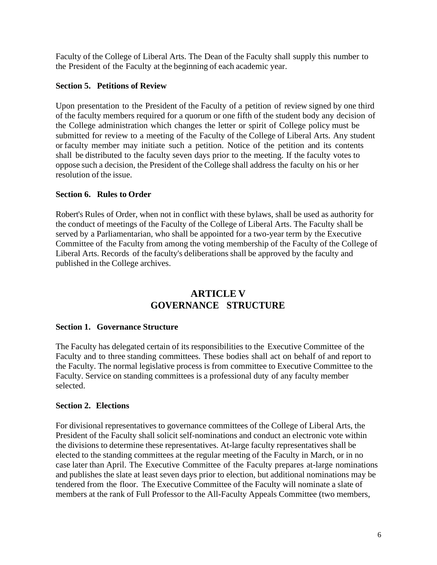Faculty of the College of Liberal Arts. The Dean of the Faculty shall supply this number to the President of the Faculty at the beginning of each academic year.

## **Section 5. Petitions of Review**

Upon presentation to the President of the Faculty of a petition of review signed by one third of the faculty members required for a quorum or one fifth of the student body any decision of the College administration which changes the letter or spirit of College policy must be submitted for review to a meeting of the Faculty of the College of Liberal Arts. Any student or faculty member may initiate such a petition. Notice of the petition and its contents shall be distributed to the faculty seven days prior to the meeting. If the faculty votes to oppose such a decision, the President of the College shall address the faculty on his or her resolution of the issue.

## **Section 6. Rules to Order**

Robert's Rules of Order, when not in conflict with these bylaws, shall be used as authority for the conduct of meetings of the Faculty of the College of Liberal Arts. The Faculty shall be served by a Parliamentarian, who shall be appointed for a two-year term by the Executive Committee of the Faculty from among the voting membership of the Faculty of the College of Liberal Arts. Records of the faculty's deliberations shall be approved by the faculty and published in the College archives.

## **ARTICLE V GOVERNANCE STRUCTURE**

## **Section 1. Governance Structure**

The Faculty has delegated certain of its responsibilities to the Executive Committee of the Faculty and to three standing committees. These bodies shall act on behalf of and report to the Faculty. The normal legislative process is from committee to Executive Committee to the Faculty. Service on standing committees is a professional duty of any faculty member selected.

## **Section 2. Elections**

For divisional representatives to governance committees of the College of Liberal Arts, the President of the Faculty shall solicit self-nominations and conduct an electronic vote within the divisions to determine these representatives. At-large faculty representatives shall be elected to the standing committees at the regular meeting of the Faculty in March, or in no case later than April. The Executive Committee of the Faculty prepares at-large nominations and publishes the slate at least seven days prior to election, but additional nominations may be tendered from the floor. The Executive Committee of the Faculty will nominate a slate of members at the rank of Full Professor to the All-Faculty Appeals Committee (two members,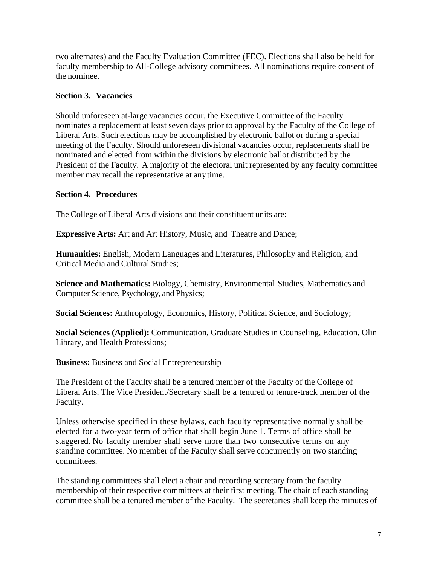two alternates) and the Faculty Evaluation Committee (FEC). Elections shall also be held for faculty membership to All-College advisory committees. All nominations require consent of the nominee.

## **Section 3. Vacancies**

Should unforeseen at-large vacancies occur, the Executive Committee of the Faculty nominates a replacement at least seven days prior to approval by the Faculty of the College of Liberal Arts. Such elections may be accomplished by electronic ballot or during a special meeting of the Faculty. Should unforeseen divisional vacancies occur, replacements shall be nominated and elected from within the divisions by electronic ballot distributed by the President of the Faculty. A majority of the electoral unit represented by any faculty committee member may recall the representative at anytime.

## **Section 4. Procedures**

The College of Liberal Arts divisions and their constituent units are:

**Expressive Arts:** Art and Art History, Music, and Theatre and Dance;

**Humanities:** English, Modern Languages and Literatures, Philosophy and Religion, and Critical Media and Cultural Studies;

**Science and Mathematics:** Biology, Chemistry, Environmental Studies, Mathematics and Computer Science, Psychology, and Physics;

**Social Sciences:** Anthropology, Economics, History, Political Science, and Sociology;

**Social Sciences (Applied):** Communication, Graduate Studies in Counseling, Education, Olin Library, and Health Professions;

**Business:** Business and Social Entrepreneurship

The President of the Faculty shall be a tenured member of the Faculty of the College of Liberal Arts. The Vice President/Secretary shall be a tenured or tenure-track member of the Faculty.

Unless otherwise specified in these bylaws, each faculty representative normally shall be elected for a two-year term of office that shall begin June 1. Terms of office shall be staggered. No faculty member shall serve more than two consecutive terms on any standing committee. No member of the Faculty shall serve concurrently on two standing committees.

The standing committees shall elect a chair and recording secretary from the faculty membership of their respective committees at their first meeting. The chair of each standing committee shall be a tenured member of the Faculty. The secretaries shall keep the minutes of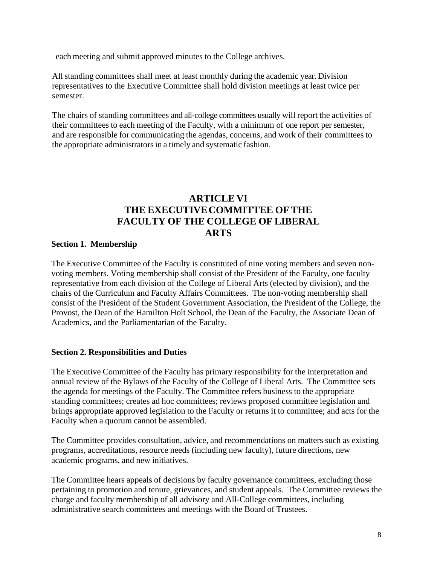each meeting and submit approved minutes to the College archives.

All standing committees shall meet at least monthly during the academic year. Division representatives to the Executive Committee shall hold division meetings at least twice per semester.

The chairs of standing committees and all-college committees usually will report the activities of their committees to each meeting of the Faculty, with a minimum of one report per semester, and are responsible for communicating the agendas, concerns, and work of their committees to the appropriate administrators in a timely and systematic fashion.

## **ARTICLE VI THE EXECUTIVECOMMITTEE OF THE FACULTY OF THE COLLEGE OF LIBERAL ARTS**

## **Section 1. Membership**

The Executive Committee of the Faculty is constituted of nine voting members and seven nonvoting members. Voting membership shall consist of the President of the Faculty, one faculty representative from each division of the College of Liberal Arts (elected by division), and the chairs of the Curriculum and Faculty Affairs Committees. The non-voting membership shall consist of the President of the Student Government Association, the President of the College, the Provost, the Dean of the Hamilton Holt School, the Dean of the Faculty, the Associate Dean of Academics, and the Parliamentarian of the Faculty.

## **Section 2. Responsibilities and Duties**

The Executive Committee of the Faculty has primary responsibility for the interpretation and annual review of the Bylaws of the Faculty of the College of Liberal Arts. The Committee sets the agenda for meetings of the Faculty. The Committee refers business to the appropriate standing committees; creates ad hoc committees; reviews proposed committee legislation and brings appropriate approved legislation to the Faculty or returns it to committee; and acts for the Faculty when a quorum cannot be assembled.

The Committee provides consultation, advice, and recommendations on matters such as existing programs, accreditations, resource needs (including new faculty), future directions, new academic programs, and new initiatives.

The Committee hears appeals of decisions by faculty governance committees, excluding those pertaining to promotion and tenure, grievances, and student appeals. The Committee reviews the charge and faculty membership of all advisory and All-College committees, including administrative search committees and meetings with the Board of Trustees.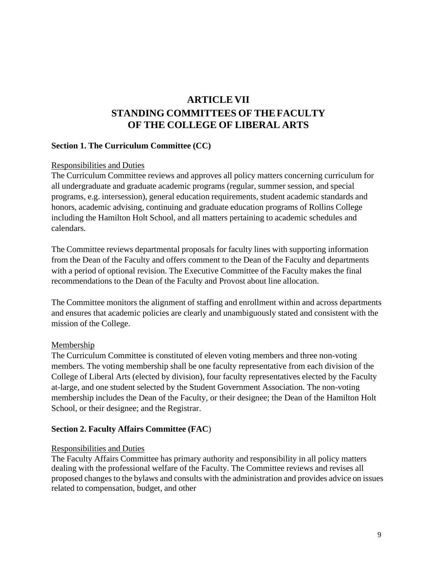## **ARTICLE VII STANDING COMMITTEES OF THEFACULTY OF THE COLLEGE OF LIBERAL ARTS**

## **Section 1. The Curriculum Committee (CC)**

## Responsibilities and Duties

The Curriculum Committee reviews and approves all policy matters concerning curriculum for all undergraduate and graduate academic programs (regular, summer session, and special programs, e.g. intersession), general education requirements, student academic standards and honors, academic advising, continuing and graduate education programs of Rollins College including the Hamilton Holt School, and all matters pertaining to academic schedules and calendars.

The Committee reviews departmental proposals for faculty lines with supporting information from the Dean of the Faculty and offers comment to the Dean of the Faculty and departments with a period of optional revision. The Executive Committee of the Faculty makes the final recommendations to the Dean of the Faculty and Provost about line allocation.

The Committee monitors the alignment of staffing and enrollment within and across departments and ensures that academic policies are clearly and unambiguously stated and consistent with the mission of the College.

## Membership

The Curriculum Committee is constituted of eleven voting members and three non-voting members. The voting membership shall be one faculty representative from each division of the College of Liberal Arts (elected by division), four faculty representatives elected by the Faculty at-large, and one student selected by the Student Government Association. The non-voting membership includes the Dean of the Faculty, or their designee; the Dean of the Hamilton Holt School, or their designee; and the Registrar.

## **Section 2. Faculty Affairs Committee (FAC**)

#### Responsibilities and Duties

The Faculty Affairs Committee has primary authority and responsibility in all policy matters dealing with the professional welfare of the Faculty. The Committee reviews and revises all proposed changes to the bylaws and consults with the administration and provides advice on issues related to compensation, budget, and other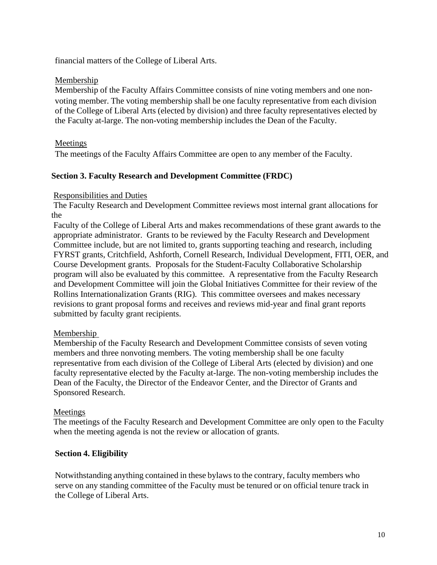financial matters of the College of Liberal Arts.

## Membership

Membership of the Faculty Affairs Committee consists of nine voting members and one nonvoting member. The voting membership shall be one faculty representative from each division of the College of Liberal Arts (elected by division) and three faculty representatives elected by the Faculty at-large. The non-voting membership includes the Dean of the Faculty.

## Meetings

The meetings of the Faculty Affairs Committee are open to any member of the Faculty.

## **Section 3. Faculty Research and Development Committee (FRDC)**

## Responsibilities and Duties

The Faculty Research and Development Committee reviews most internal grant allocations for the

Faculty of the College of Liberal Arts and makes recommendations of these grant awards to the appropriate administrator. Grants to be reviewed by the Faculty Research and Development Committee include, but are not limited to, grants supporting teaching and research, including FYRST grants, Critchfield, Ashforth, Cornell Research, Individual Development, FITI, OER, and Course Development grants. Proposals for the Student-Faculty Collaborative Scholarship program will also be evaluated by this committee. A representative from the Faculty Research and Development Committee will join the Global Initiatives Committee for their review of the Rollins Internationalization Grants (RIG). This committee oversees and makes necessary revisions to grant proposal forms and receives and reviews mid-year and final grant reports submitted by faculty grant recipients.

## Membership

Membership of the Faculty Research and Development Committee consists of seven voting members and three nonvoting members. The voting membership shall be one faculty representative from each division of the College of Liberal Arts (elected by division) and one faculty representative elected by the Faculty at-large. The non-voting membership includes the Dean of the Faculty, the Director of the Endeavor Center, and the Director of Grants and Sponsored Research.

## Meetings

The meetings of the Faculty Research and Development Committee are only open to the Faculty when the meeting agenda is not the review or allocation of grants.

## **Section 4. Eligibility**

Notwithstanding anything contained in these bylaws to the contrary, faculty members who serve on any standing committee of the Faculty must be tenured or on official tenure track in the College of Liberal Arts.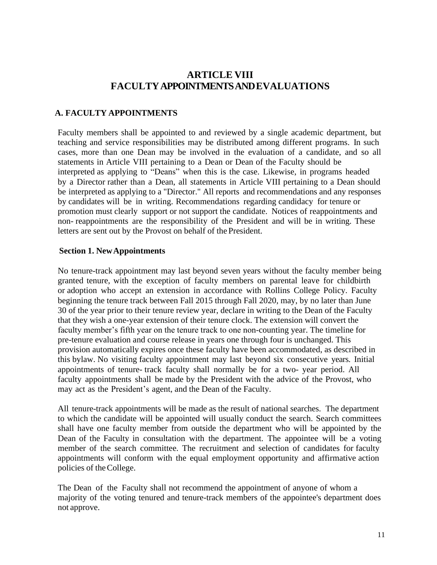## **ARTICLE VIII FACULTYAPPOINTMENTSANDEVALUATIONS**

## **A. FACULTY APPOINTMENTS**

Faculty members shall be appointed to and reviewed by a single academic department, but teaching and service responsibilities may be distributed among different programs. In such cases, more than one Dean may be involved in the evaluation of a candidate, and so all statements in Article VIII pertaining to a Dean or Dean of the Faculty should be interpreted as applying to "Deans" when this is the case. Likewise, in programs headed by a Director rather than a Dean, all statements in Article VIII pertaining to a Dean should be interpreted as applying to a "Director." All reports and recommendations and any responses by candidates will be in writing. Recommendations regarding candidacy for tenure or promotion must clearly support or not support the candidate. Notices of reappointments and non- reappointments are the responsibility of the President and will be in writing. These letters are sent out by the Provost on behalf of the President.

## **Section 1. NewAppointments**

No tenure-track appointment may last beyond seven years without the faculty member being granted tenure, with the exception of faculty members on parental leave for childbirth or adoption who accept an extension in accordance with Rollins College Policy. Faculty beginning the tenure track between Fall 2015 through Fall 2020, may, by no later than June 30 of the year prior to their tenure review year, declare in writing to the Dean of the Faculty that they wish a one-year extension of their tenure clock. The extension will convert the faculty member's fifth year on the tenure track to one non-counting year. The timeline for pre-tenure evaluation and course release in years one through four is unchanged. This provision automatically expires once these faculty have been accommodated, as described in this bylaw. No visiting faculty appointment may last beyond six consecutive years. Initial appointments of tenure- track faculty shall normally be for a two- year period. All faculty appointments shall be made by the President with the advice of the Provost, who may act as the President's agent, and the Dean of the Faculty.

All tenure-track appointments will be made as the result of national searches. The department to which the candidate will be appointed will usually conduct the search. Search committees shall have one faculty member from outside the department who will be appointed by the Dean of the Faculty in consultation with the department. The appointee will be a voting member of the search committee. The recruitment and selection of candidates for faculty appointments will conform with the equal employment opportunity and affirmative action policies of theCollege.

The Dean of the Faculty shall not recommend the appointment of anyone of whom a majority of the voting tenured and tenure-track members of the appointee's department does not approve.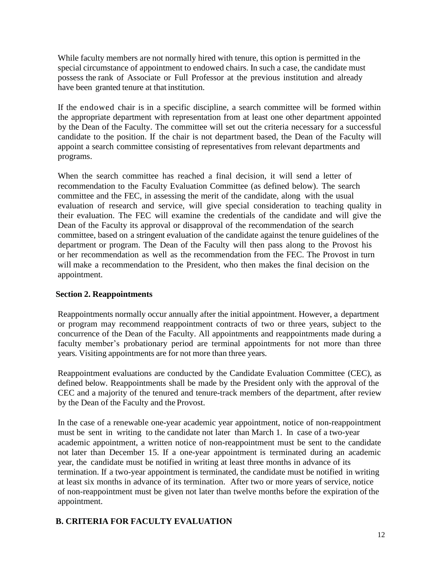While faculty members are not normally hired with tenure, this option is permitted in the special circumstance of appointment to endowed chairs. In such a case, the candidate must possess the rank of Associate or Full Professor at the previous institution and already have been granted tenure at that institution.

If the endowed chair is in a specific discipline, a search committee will be formed within the appropriate department with representation from at least one other department appointed by the Dean of the Faculty. The committee will set out the criteria necessary for a successful candidate to the position. If the chair is not department based, the Dean of the Faculty will appoint a search committee consisting of representatives from relevant departments and programs.

When the search committee has reached a final decision, it will send a letter of recommendation to the Faculty Evaluation Committee (as defined below). The search committee and the FEC, in assessing the merit of the candidate, along with the usual evaluation of research and service, will give special consideration to teaching quality in their evaluation. The FEC will examine the credentials of the candidate and will give the Dean of the Faculty its approval or disapproval of the recommendation of the search committee, based on a stringent evaluation of the candidate against the tenure guidelines of the department or program. The Dean of the Faculty will then pass along to the Provost his or her recommendation as well as the recommendation from the FEC. The Provost in turn will make a recommendation to the President, who then makes the final decision on the appointment.

## **Section 2. Reappointments**

Reappointments normally occur annually after the initial appointment. However, a department or program may recommend reappointment contracts of two or three years, subject to the concurrence of the Dean of the Faculty. All appointments and reappointments made during a faculty member's probationary period are terminal appointments for not more than three years. Visiting appointments are for not more than three years.

Reappointment evaluations are conducted by the Candidate Evaluation Committee (CEC), as defined below. Reappointments shall be made by the President only with the approval of the CEC and a majority of the tenured and tenure-track members of the department, after review by the Dean of the Faculty and the Provost.

In the case of a renewable one-year academic year appointment, notice of non-reappointment must be sent in writing to the candidate not later than March 1. In case of a two-year academic appointment, a written notice of non-reappointment must be sent to the candidate not later than December 15. If a one-year appointment is terminated during an academic year, the candidate must be notified in writing at least three months in advance of its termination. If a two-year appointment is terminated, the candidate must be notified in writing at least six months in advance of its termination. After two or more years of service, notice of non-reappointment must be given not later than twelve months before the expiration of the appointment.

#### **B. CRITERIA FOR FACULTY EVALUATION**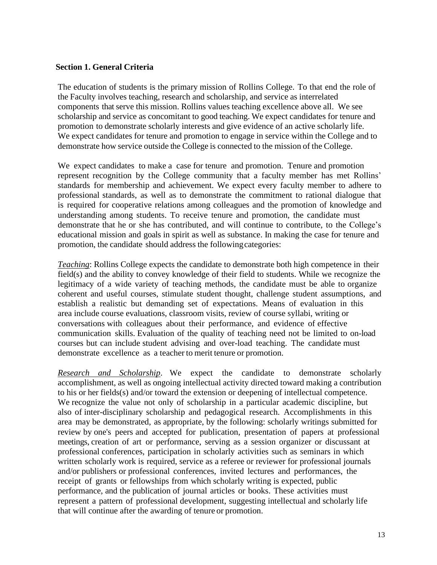#### **Section 1. General Criteria**

The education of students is the primary mission of Rollins College. To that end the role of the Faculty involves teaching, research and scholarship, and service as interrelated components that serve this mission. Rollins values teaching excellence above all. We see scholarship and service as concomitant to good teaching. We expect candidates for tenure and promotion to demonstrate scholarly interests and give evidence of an active scholarly life. We expect candidates for tenure and promotion to engage in service within the College and to demonstrate how service outside the College is connected to the mission of the College.

We expect candidates to make a case for tenure and promotion. Tenure and promotion represent recognition by the College community that a faculty member has met Rollins' standards for membership and achievement. We expect every faculty member to adhere to professional standards, as well as to demonstrate the commitment to rational dialogue that is required for cooperative relations among colleagues and the promotion of knowledge and understanding among students. To receive tenure and promotion, the candidate must demonstrate that he or she has contributed, and will continue to contribute, to the College's educational mission and goals in spirit as well as substance. In making the case for tenure and promotion, the candidate should address the followingcategories:

*Teaching*: Rollins College expects the candidate to demonstrate both high competence in their field(s) and the ability to convey knowledge of their field to students. While we recognize the legitimacy of a wide variety of teaching methods, the candidate must be able to organize coherent and useful courses, stimulate student thought, challenge student assumptions, and establish a realistic but demanding set of expectations. Means of evaluation in this area include course evaluations, classroom visits, review of course syllabi, writing or conversations with colleagues about their performance, and evidence of effective communication skills. Evaluation of the quality of teaching need not be limited to on-load courses but can include student advising and over-load teaching. The candidate must demonstrate excellence as a teacher to merit tenure or promotion.

*Research and Scholarship*. We expect the candidate to demonstrate scholarly accomplishment, as well as ongoing intellectual activity directed toward making a contribution to his or her fields(s) and/or toward the extension or deepening of intellectual competence. We recognize the value not only of scholarship in a particular academic discipline, but also of inter-disciplinary scholarship and pedagogical research. Accomplishments in this area may be demonstrated, as appropriate, by the following: scholarly writings submitted for review by one's peers and accepted for publication, presentation of papers at professional meetings, creation of art or performance, serving as a session organizer or discussant at professional conferences, participation in scholarly activities such as seminars in which written scholarly work is required, service as a referee or reviewer for professional journals and/or publishers or professional conferences, invited lectures and performances, the receipt of grants or fellowships from which scholarly writing is expected, public performance, and the publication of journal articles or books. These activities must represent a pattern of professional development, suggesting intellectual and scholarly life that will continue after the awarding of tenure or promotion.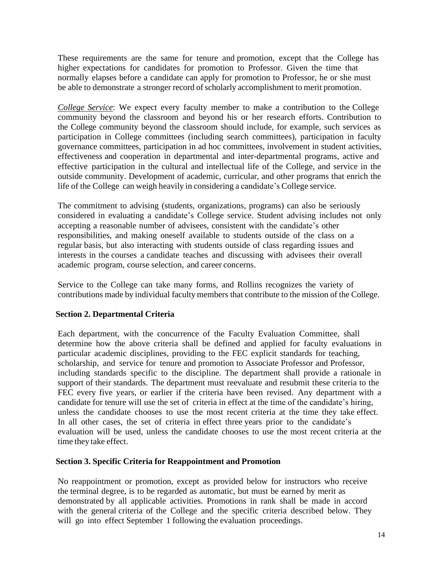These requirements are the same for tenure and promotion, except that the College has higher expectations for candidates for promotion to Professor. Given the time that normally elapses before a candidate can apply for promotion to Professor, he or she must be able to demonstrate a stronger record of scholarly accomplishment to merit promotion.

*College Service*: We expect every faculty member to make a contribution to the College community beyond the classroom and beyond his or her research efforts. Contribution to the College community beyond the classroom should include, for example, such services as participation in College committees (including search committees), participation in faculty governance committees, participation in ad hoc committees, involvement in student activities, effectiveness and cooperation in departmental and inter-departmental programs, active and effective participation in the cultural and intellectual life of the College, and service in the outside community. Development of academic, curricular, and other programs that enrich the life of the College can weigh heavily in considering a candidate's College service.

The commitment to advising (students, organizations, programs) can also be seriously considered in evaluating a candidate's College service. Student advising includes not only accepting a reasonable number of advisees, consistent with the candidate's other responsibilities, and making oneself available to students outside of the class on a regular basis, but also interacting with students outside of class regarding issues and interests in the courses a candidate teaches and discussing with advisees their overall academic program, course selection, and career concerns.

Service to the College can take many forms, and Rollins recognizes the variety of contributions made by individual faculty members that contribute to the mission of the College.

## **Section 2. Departmental Criteria**

Each department, with the concurrence of the Faculty Evaluation Committee, shall determine how the above criteria shall be defined and applied for faculty evaluations in particular academic disciplines, providing to the FEC explicit standards for teaching, scholarship, and service for tenure and promotion to Associate Professor and Professor, including standards specific to the discipline. The department shall provide a rationale in support of their standards. The department must reevaluate and resubmit these criteria to the FEC every five years, or earlier if the criteria have been revised. Any department with a candidate for tenure will use the set of criteria in effect at the time of the candidate's hiring, unless the candidate chooses to use the most recent criteria at the time they take effect. In all other cases, the set of criteria in effect three years prior to the candidate's evaluation will be used, unless the candidate chooses to use the most recent criteria at the time they take effect.

#### **Section 3. Specific Criteria for Reappointment and Promotion**

No reappointment or promotion, except as provided below for instructors who receive the terminal degree, is to be regarded as automatic, but must be earned by merit as demonstrated by all applicable activities. Promotions in rank shall be made in accord with the general criteria of the College and the specific criteria described below. They will go into effect September 1 following the evaluation proceedings.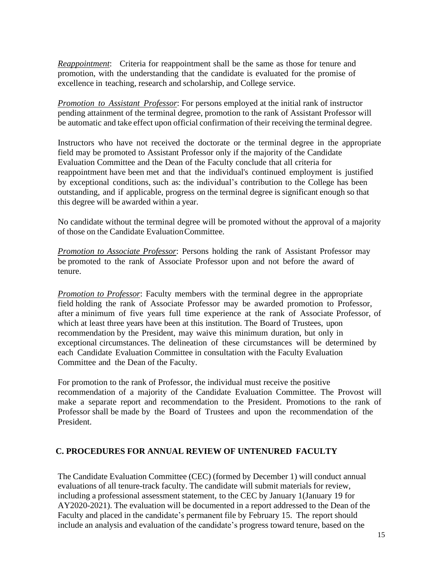*Reappointment*: Criteria for reappointment shall be the same as those for tenure and promotion, with the understanding that the candidate is evaluated for the promise of excellence in teaching, research and scholarship, and College service.

*Promotion to Assistant Professor*: For persons employed at the initial rank of instructor pending attainment of the terminal degree, promotion to the rank of Assistant Professor will be automatic and take effect upon official confirmation of their receiving the terminal degree.

Instructors who have not received the doctorate or the terminal degree in the appropriate field may be promoted to Assistant Professor only if the majority of the Candidate Evaluation Committee and the Dean of the Faculty conclude that all criteria for reappointment have been met and that the individual's continued employment is justified by exceptional conditions, such as: the individual's contribution to the College has been outstanding, and if applicable, progress on the terminal degree is significant enough so that this degree will be awarded within a year.

No candidate without the terminal degree will be promoted without the approval of a majority of those on the Candidate EvaluationCommittee.

*Promotion to Associate Professor*: Persons holding the rank of Assistant Professor may be promoted to the rank of Associate Professor upon and not before the award of tenure.

*Promotion to Professor*: Faculty members with the terminal degree in the appropriate field holding the rank of Associate Professor may be awarded promotion to Professor, after a minimum of five years full time experience at the rank of Associate Professor, of which at least three years have been at this institution. The Board of Trustees, upon recommendation by the President, may waive this minimum duration, but only in exceptional circumstances. The delineation of these circumstances will be determined by each Candidate Evaluation Committee in consultation with the Faculty Evaluation Committee and the Dean of the Faculty.

For promotion to the rank of Professor, the individual must receive the positive recommendation of a majority of the Candidate Evaluation Committee. The Provost will make a separate report and recommendation to the President. Promotions to the rank of Professor shall be made by the Board of Trustees and upon the recommendation of the President.

## **C. PROCEDURES FOR ANNUAL REVIEW OF UNTENURED FACULTY**

The Candidate Evaluation Committee (CEC) (formed by December 1) will conduct annual evaluations of all tenure-track faculty. The candidate will submit materials for review, including a professional assessment statement, to the CEC by January 1(January 19 for AY2020-2021). The evaluation will be documented in a report addressed to the Dean of the Faculty and placed in the candidate's permanent file by February 15. The report should include an analysis and evaluation of the candidate's progress toward tenure, based on the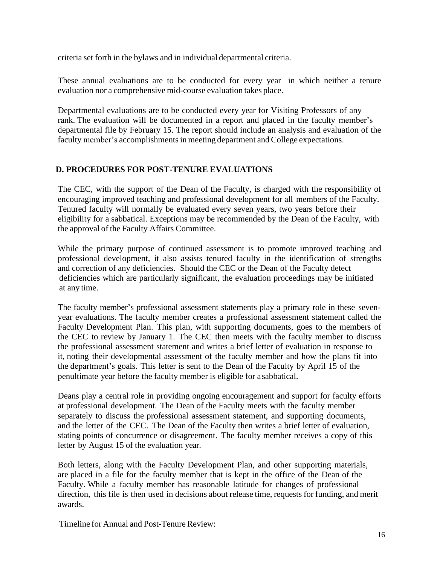criteria set forth in the bylaws and in individual departmental criteria.

These annual evaluations are to be conducted for every year in which neither a tenure evaluation nor a comprehensive mid-course evaluation takes place.

Departmental evaluations are to be conducted every year for Visiting Professors of any rank. The evaluation will be documented in a report and placed in the faculty member's departmental file by February 15. The report should include an analysis and evaluation of the faculty member's accomplishments in meeting department and College expectations.

## **D. PROCEDURES FOR POST-TENURE EVALUATIONS**

The CEC, with the support of the Dean of the Faculty, is charged with the responsibility of encouraging improved teaching and professional development for all members of the Faculty. Tenured faculty will normally be evaluated every seven years, two years before their eligibility for a sabbatical. Exceptions may be recommended by the Dean of the Faculty, with the approval of the Faculty Affairs Committee.

While the primary purpose of continued assessment is to promote improved teaching and professional development, it also assists tenured faculty in the identification of strengths and correction of any deficiencies. Should the CEC or the Dean of the Faculty detect deficiencies which are particularly significant, the evaluation proceedings may be initiated at any time.

The faculty member's professional assessment statements play a primary role in these sevenyear evaluations. The faculty member creates a professional assessment statement called the Faculty Development Plan. This plan, with supporting documents, goes to the members of the CEC to review by January 1. The CEC then meets with the faculty member to discuss the professional assessment statement and writes a brief letter of evaluation in response to it, noting their developmental assessment of the faculty member and how the plans fit into the department's goals. This letter is sent to the Dean of the Faculty by April 15 of the penultimate year before the faculty member is eligible for asabbatical.

Deans play a central role in providing ongoing encouragement and support for faculty efforts at professional development. The Dean of the Faculty meets with the faculty member separately to discuss the professional assessment statement, and supporting documents, and the letter of the CEC. The Dean of the Faculty then writes a brief letter of evaluation, stating points of concurrence or disagreement. The faculty member receives a copy of this letter by August 15 of the evaluation year.

Both letters, along with the Faculty Development Plan, and other supporting materials, are placed in a file for the faculty member that is kept in the office of the Dean of the Faculty. While a faculty member has reasonable latitude for changes of professional direction, this file is then used in decisions about release time, requests for funding, and merit awards.

Timeline for Annual and Post-Tenure Review: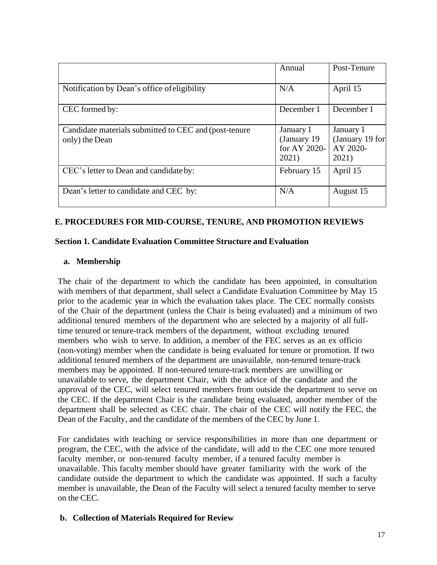|                                                                         | Annual                                             | Post-Tenure                                       |
|-------------------------------------------------------------------------|----------------------------------------------------|---------------------------------------------------|
| Notification by Dean's office of eligibility                            | N/A                                                | April 15                                          |
| CEC formed by:                                                          | December 1                                         | December 1                                        |
| Candidate materials submitted to CEC and (post-tenure<br>only) the Dean | January 1<br>(January 19)<br>for AY 2020-<br>2021) | January 1<br>(January 19 for<br>AY 2020-<br>2021) |
| CEC's letter to Dean and candidate by:                                  | February 15                                        | April 15                                          |
| Dean's letter to candidate and CEC by:                                  | N/A                                                | August 15                                         |

## **E. PROCEDURES FOR MID-COURSE, TENURE, AND PROMOTION REVIEWS**

## **Section 1. Candidate Evaluation Committee Structure and Evaluation**

## **a. Membership**

The chair of the department to which the candidate has been appointed, in consultation with members of that department, shall select a Candidate Evaluation Committee by May 15 prior to the academic year in which the evaluation takes place. The CEC normally consists of the Chair of the department (unless the Chair is being evaluated) and a minimum of two additional tenured members of the department who are selected by a majority of all fulltime tenured or tenure-track members of the department, without excluding tenured members who wish to serve. In addition, a member of the FEC serves as an ex officio (non-voting) member when the candidate is being evaluated for tenure or promotion. If two additional tenured members of the department are unavailable, non-tenured tenure-track members may be appointed. If non-tenured tenure-track members are unwilling or unavailable to serve, the department Chair, with the advice of the candidate and the approval of the CEC, will select tenured members from outside the department to serve on the CEC. If the department Chair is the candidate being evaluated, another member of the department shall be selected as CEC chair. The chair of the CEC will notify the FEC, the Dean of the Faculty, and the candidate of the members of the CEC by June 1.

For candidates with teaching or service responsibilities in more than one department or program, the CEC, with the advice of the candidate, will add to the CEC one more tenured faculty member, or non-tenured faculty member, if a tenured faculty member is unavailable. This faculty member should have greater familiarity with the work of the candidate outside the department to which the candidate was appointed. If such a faculty member is unavailable, the Dean of the Faculty will select a tenured faculty member to serve on the CEC.

## **b. Collection of Materials Required for Review**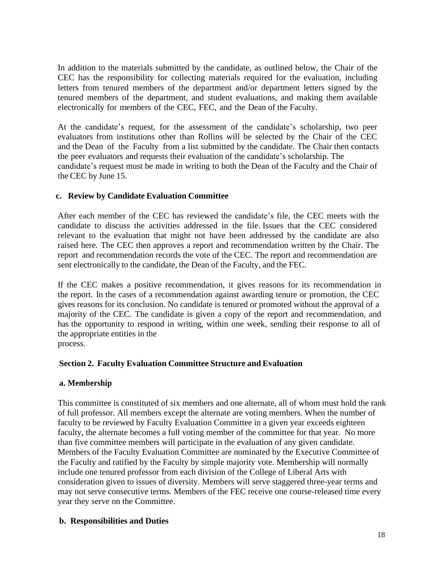In addition to the materials submitted by the candidate, as outlined below, the Chair of the CEC has the responsibility for collecting materials required for the evaluation, including letters from tenured members of the department and/or department letters signed by the tenured members of the department, and student evaluations, and making them available electronically for members of the CEC, FEC, and the Dean of the Faculty.

At the candidate's request, for the assessment of the candidate's scholarship, two peer evaluators from institutions other than Rollins will be selected by the Chair of the CEC and the Dean of the Faculty from a list submitted by the candidate. The Chair then contacts the peer evaluators and requests their evaluation of the candidate's scholarship. The candidate's request must be made in writing to both the Dean of the Faculty and the Chair of the CEC by June 15.

## **c. Review by Candidate Evaluation Committee**

After each member of the CEC has reviewed the candidate's file, the CEC meets with the candidate to discuss the activities addressed in the file. Issues that the CEC considered relevant to the evaluation that might not have been addressed by the candidate are also raised here. The CEC then approves a report and recommendation written by the Chair. The report and recommendation records the vote of the CEC. The report and recommendation are sent electronically to the candidate, the Dean of the Faculty, and the FEC.

If the CEC makes a positive recommendation, it gives reasons for its recommendation in the report. In the cases of a recommendation against awarding tenure or promotion, the CEC gives reasons for its conclusion. No candidate is tenured or promoted without the approval of a majority of the CEC. The candidate is given a copy of the report and recommendation, and has the opportunity to respond in writing, within one week, sending their response to all of the appropriate entities in the

process.

## **Section 2. Faculty Evaluation Committee Structure and Evaluation**

## **a. Membership**

This committee is constituted of six members and one alternate, all of whom must hold the rank of full professor. All members except the alternate are voting members. When the number of faculty to be reviewed by Faculty Evaluation Committee in a given year exceeds eighteen faculty, the alternate becomes a full voting member of the committee for that year. No more than five committee members will participate in the evaluation of any given candidate. Members of the Faculty Evaluation Committee are nominated by the Executive Committee of the Faculty and ratified by the Faculty by simple majority vote. Membership will normally include one tenured professor from each division of the College of Liberal Arts with consideration given to issues of diversity. Members will serve staggered three-year terms and may not serve consecutive terms. Members of the FEC receive one course-released time every year they serve on the Committee.

## **b. Responsibilities and Duties**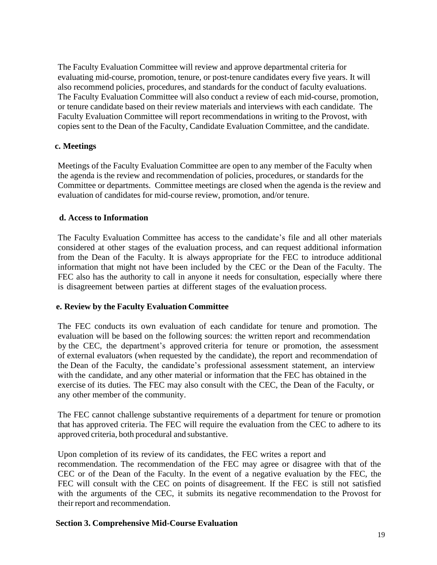The Faculty Evaluation Committee will review and approve departmental criteria for evaluating mid-course, promotion, tenure, or post-tenure candidates every five years. It will also recommend policies, procedures, and standards for the conduct of faculty evaluations. The Faculty Evaluation Committee will also conduct a review of each mid-course, promotion, or tenure candidate based on their review materials and interviews with each candidate. The Faculty Evaluation Committee will report recommendations in writing to the Provost, with copies sent to the Dean of the Faculty, Candidate Evaluation Committee, and the candidate.

## **c. Meetings**

Meetings of the Faculty Evaluation Committee are open to any member of the Faculty when the agenda is the review and recommendation of policies, procedures, or standards for the Committee or departments. Committee meetings are closed when the agenda is the review and evaluation of candidates for mid-course review, promotion, and/or tenure.

## **d. Access to Information**

The Faculty Evaluation Committee has access to the candidate's file and all other materials considered at other stages of the evaluation process, and can request additional information from the Dean of the Faculty. It is always appropriate for the FEC to introduce additional information that might not have been included by the CEC or the Dean of the Faculty. The FEC also has the authority to call in anyone it needs for consultation, especially where there is disagreement between parties at different stages of the evaluation process.

## **e. Review by the Faculty Evaluation Committee**

The FEC conducts its own evaluation of each candidate for tenure and promotion. The evaluation will be based on the following sources: the written report and recommendation by the CEC, the department's approved criteria for tenure or promotion, the assessment of external evaluators (when requested by the candidate), the report and recommendation of the Dean of the Faculty, the candidate's professional assessment statement, an interview with the candidate, and any other material or information that the FEC has obtained in the exercise of its duties. The FEC may also consult with the CEC, the Dean of the Faculty, or any other member of the community.

The FEC cannot challenge substantive requirements of a department for tenure or promotion that has approved criteria. The FEC will require the evaluation from the CEC to adhere to its approved criteria, both procedural and substantive.

Upon completion of its review of its candidates, the FEC writes a report and recommendation. The recommendation of the FEC may agree or disagree with that of the CEC or of the Dean of the Faculty. In the event of a negative evaluation by the FEC, the FEC will consult with the CEC on points of disagreement. If the FEC is still not satisfied with the arguments of the CEC, it submits its negative recommendation to the Provost for their report and recommendation.

## **Section 3. Comprehensive Mid-Course Evaluation**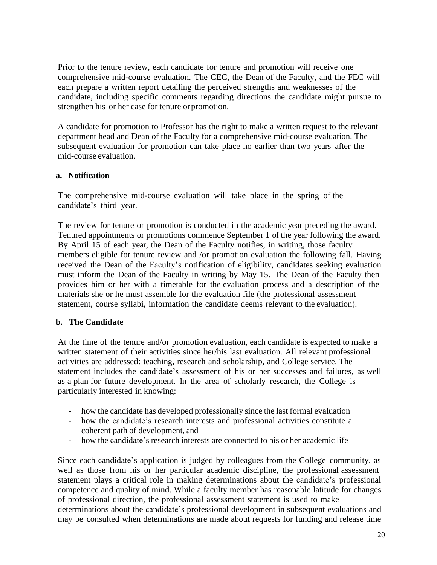Prior to the tenure review, each candidate for tenure and promotion will receive one comprehensive mid-course evaluation. The CEC, the Dean of the Faculty, and the FEC will each prepare a written report detailing the perceived strengths and weaknesses of the candidate, including specific comments regarding directions the candidate might pursue to strengthen his or her case for tenure orpromotion.

A candidate for promotion to Professor has the right to make a written request to the relevant department head and Dean of the Faculty for a comprehensive mid-course evaluation. The subsequent evaluation for promotion can take place no earlier than two years after the mid-course evaluation.

## **a. Notification**

The comprehensive mid-course evaluation will take place in the spring of the candidate's third year.

The review for tenure or promotion is conducted in the academic year preceding the award. Tenured appointments or promotions commence September 1 of the year following the award. By April 15 of each year, the Dean of the Faculty notifies, in writing, those faculty members eligible for tenure review and /or promotion evaluation the following fall. Having received the Dean of the Faculty's notification of eligibility, candidates seeking evaluation must inform the Dean of the Faculty in writing by May 15. The Dean of the Faculty then provides him or her with a timetable for the evaluation process and a description of the materials she or he must assemble for the evaluation file (the professional assessment statement, course syllabi, information the candidate deems relevant to the evaluation).

## **b. The Candidate**

At the time of the tenure and/or promotion evaluation, each candidate is expected to make a written statement of their activities since her/his last evaluation. All relevant professional activities are addressed: teaching, research and scholarship, and College service. The statement includes the candidate's assessment of his or her successes and failures, as well as a plan for future development. In the area of scholarly research, the College is particularly interested in knowing:

- how the candidate has developed professionally since the last formal evaluation
- how the candidate's research interests and professional activities constitute a coherent path of development, and
- how the candidate's research interests are connected to his or her academic life

Since each candidate's application is judged by colleagues from the College community, as well as those from his or her particular academic discipline, the professional assessment statement plays a critical role in making determinations about the candidate's professional competence and quality of mind. While a faculty member has reasonable latitude for changes of professional direction, the professional assessment statement is used to make determinations about the candidate's professional development in subsequent evaluations and may be consulted when determinations are made about requests for funding and release time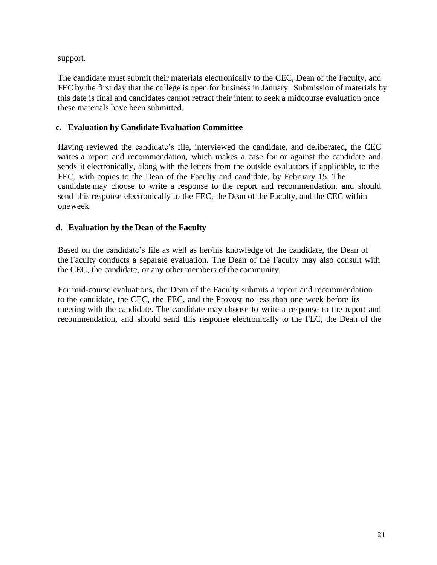support.

The candidate must submit their materials electronically to the CEC, Dean of the Faculty, and FEC by the first day that the college is open for business in January. Submission of materials by this date is final and candidates cannot retract their intent to seek a midcourse evaluation once these materials have been submitted.

## **c. Evaluation by Candidate Evaluation Committee**

Having reviewed the candidate's file, interviewed the candidate, and deliberated, the CEC writes a report and recommendation, which makes a case for or against the candidate and sends it electronically, along with the letters from the outside evaluators if applicable, to the FEC, with copies to the Dean of the Faculty and candidate, by February 15. The candidate may choose to write a response to the report and recommendation, and should send this response electronically to the FEC, the Dean of the Faculty, and the CEC within oneweek.

## **d. Evaluation by the Dean of the Faculty**

Based on the candidate's file as well as her/his knowledge of the candidate, the Dean of the Faculty conducts a separate evaluation. The Dean of the Faculty may also consult with the CEC, the candidate, or any other members of the community.

For mid-course evaluations, the Dean of the Faculty submits a report and recommendation to the candidate, the CEC, the FEC, and the Provost no less than one week before its meeting with the candidate. The candidate may choose to write a response to the report and recommendation, and should send this response electronically to the FEC, the Dean of the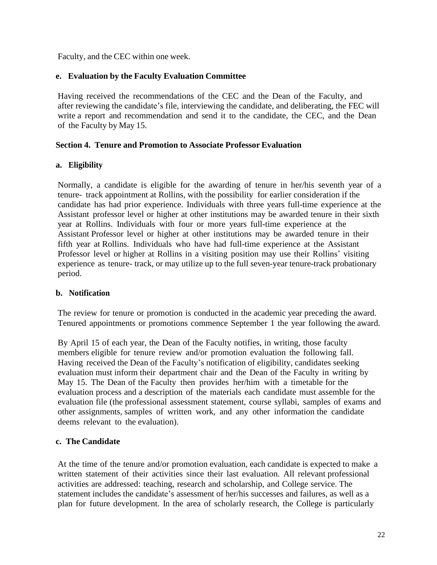Faculty, and the CEC within one week.

## **e. Evaluation by the Faculty Evaluation Committee**

Having received the recommendations of the CEC and the Dean of the Faculty, and after reviewing the candidate's file, interviewing the candidate, and deliberating, the FEC will write a report and recommendation and send it to the candidate, the CEC, and the Dean of the Faculty by May 15.

## **Section 4. Tenure and Promotion to Associate Professor Evaluation**

## **a. Eligibility**

Normally, a candidate is eligible for the awarding of tenure in her/his seventh year of a tenure- track appointment at Rollins, with the possibility for earlier consideration if the candidate has had prior experience. Individuals with three years full-time experience at the Assistant professor level or higher at other institutions may be awarded tenure in their sixth year at Rollins. Individuals with four or more years full-time experience at the Assistant Professor level or higher at other institutions may be awarded tenure in their fifth year at Rollins. Individuals who have had full-time experience at the Assistant Professor level or higher at Rollins in a visiting position may use their Rollins' visiting experience as tenure- track, or may utilize up to the full seven-year tenure-track probationary period.

## **b. Notification**

The review for tenure or promotion is conducted in the academic year preceding the award. Tenured appointments or promotions commence September 1 the year following the award.

By April 15 of each year, the Dean of the Faculty notifies, in writing, those faculty members eligible for tenure review and/or promotion evaluation the following fall. Having received the Dean of the Faculty's notification of eligibility, candidates seeking evaluation must inform their department chair and the Dean of the Faculty in writing by May 15. The Dean of the Faculty then provides her/him with a timetable for the evaluation process and a description of the materials each candidate must assemble for the evaluation file (the professional assessment statement, course syllabi, samples of exams and other assignments, samples of written work, and any other information the candidate deems relevant to the evaluation).

## **c. The Candidate**

At the time of the tenure and/or promotion evaluation, each candidate is expected to make a written statement of their activities since their last evaluation. All relevant professional activities are addressed: teaching, research and scholarship, and College service. The statement includes the candidate's assessment of her/his successes and failures, as well as a plan for future development. In the area of scholarly research, the College is particularly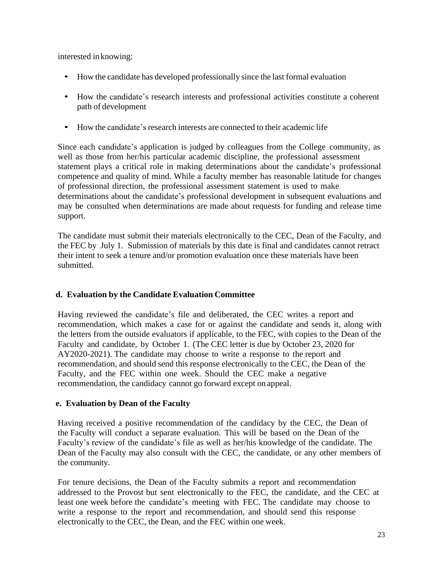interested inknowing:

- How the candidate has developed professionally since the last formal evaluation
- How the candidate's research interests and professional activities constitute a coherent path of development
- How the candidate's research interests are connected to their academic life

Since each candidate's application is judged by colleagues from the College community, as well as those from her/his particular academic discipline, the professional assessment statement plays a critical role in making determinations about the candidate's professional competence and quality of mind. While a faculty member has reasonable latitude for changes of professional direction, the professional assessment statement is used to make determinations about the candidate's professional development in subsequent evaluations and may be consulted when determinations are made about requests for funding and release time support.

The candidate must submit their materials electronically to the CEC, Dean of the Faculty, and the FEC by July 1. Submission of materials by this date is final and candidates cannot retract their intent to seek a tenure and/or promotion evaluation once these materials have been submitted.

## **d. Evaluation by the Candidate Evaluation Committee**

Having reviewed the candidate's file and deliberated, the CEC writes a report and recommendation, which makes a case for or against the candidate and sends it, along with the letters from the outside evaluators if applicable, to the FEC, with copies to the Dean of the Faculty and candidate, by October 1. (The CEC letter is due by October 23, 2020 for AY2020-2021). The candidate may choose to write a response to the report and recommendation, and should send this response electronically to the CEC, the Dean of the Faculty, and the FEC within one week. Should the CEC make a negative recommendation, the candidacy cannot go forward except on appeal.

## **e. Evaluation by Dean of the Faculty**

Having received a positive recommendation of the candidacy by the CEC, the Dean of the Faculty will conduct a separate evaluation. This will be based on the Dean of the Faculty's review of the candidate's file as well as her/his knowledge of the candidate. The Dean of the Faculty may also consult with the CEC, the candidate, or any other members of the community.

For tenure decisions, the Dean of the Faculty submits a report and recommendation addressed to the Provost but sent electronically to the FEC, the candidate, and the CEC at least one week before the candidate's meeting with FEC. The candidate may choose to write a response to the report and recommendation, and should send this response electronically to the CEC, the Dean, and the FEC within one week.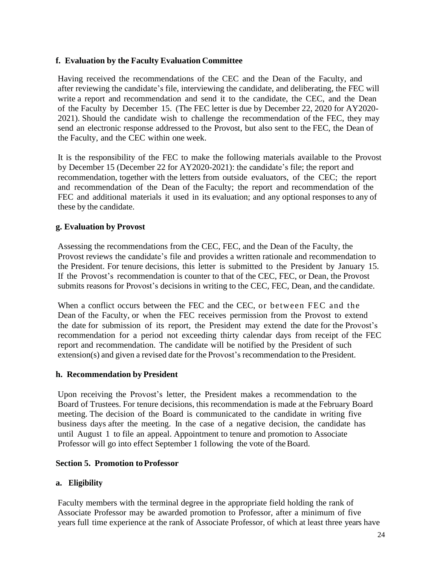## **f. Evaluation by the Faculty Evaluation Committee**

Having received the recommendations of the CEC and the Dean of the Faculty, and after reviewing the candidate's file, interviewing the candidate, and deliberating, the FEC will write a report and recommendation and send it to the candidate, the CEC, and the Dean of the Faculty by December 15. (The FEC letter is due by December 22, 2020 for AY2020- 2021). Should the candidate wish to challenge the recommendation of the FEC, they may send an electronic response addressed to the Provost, but also sent to the FEC, the Dean of the Faculty, and the CEC within one week.

It is the responsibility of the FEC to make the following materials available to the Provost by December 15 (December 22 for AY2020-2021): the candidate's file; the report and recommendation, together with the letters from outside evaluators, of the CEC; the report and recommendation of the Dean of the Faculty; the report and recommendation of the FEC and additional materials it used in its evaluation; and any optional responses to any of these by the candidate.

## **g. Evaluation by Provost**

Assessing the recommendations from the CEC, FEC, and the Dean of the Faculty, the Provost reviews the candidate's file and provides a written rationale and recommendation to the President. For tenure decisions, this letter is submitted to the President by January 15. If the Provost's recommendation is counter to that of the CEC, FEC, or Dean, the Provost submits reasons for Provost's decisions in writing to the CEC, FEC, Dean, and the candidate.

When a conflict occurs between the FEC and the CEC, or between FEC and the Dean of the Faculty, or when the FEC receives permission from the Provost to extend the date for submission of its report, the President may extend the date for the Provost's recommendation for a period not exceeding thirty calendar days from receipt of the FEC report and recommendation. The candidate will be notified by the President of such extension(s) and given a revised date for the Provost's recommendation to the President.

## **h. Recommendation by President**

Upon receiving the Provost's letter, the President makes a recommendation to the Board of Trustees. For tenure decisions, this recommendation is made at the February Board meeting. The decision of the Board is communicated to the candidate in writing five business days after the meeting. In the case of a negative decision, the candidate has until August 1 to file an appeal. Appointment to tenure and promotion to Associate Professor will go into effect September 1 following the vote of the Board.

## **Section 5. Promotion to Professor**

## **a. Eligibility**

Faculty members with the terminal degree in the appropriate field holding the rank of Associate Professor may be awarded promotion to Professor, after a minimum of five years full time experience at the rank of Associate Professor, of which at least three years have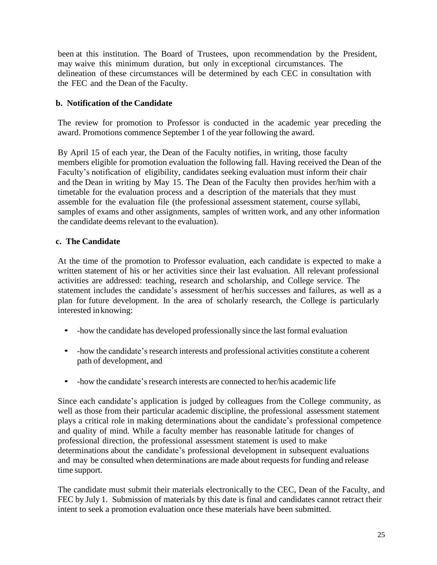been at this institution. The Board of Trustees, upon recommendation by the President, may waive this minimum duration, but only in exceptional circumstances. The delineation of these circumstances will be determined by each CEC in consultation with the FEC and the Dean of the Faculty.

## **b. Notification of the Candidate**

The review for promotion to Professor is conducted in the academic year preceding the award. Promotions commence September 1 of the year following the award.

By April 15 of each year, the Dean of the Faculty notifies, in writing, those faculty members eligible for promotion evaluation the following fall. Having received the Dean of the Faculty's notification of eligibility, candidates seeking evaluation must inform their chair and the Dean in writing by May 15. The Dean of the Faculty then provides her/him with a timetable for the evaluation process and a description of the materials that they must assemble for the evaluation file (the professional assessment statement, course syllabi, samples of exams and other assignments, samples of written work, and any other information the candidate deems relevant to the evaluation).

## **c. The Candidate**

At the time of the promotion to Professor evaluation, each candidate is expected to make a written statement of his or her activities since their last evaluation. All relevant professional activities are addressed: teaching, research and scholarship, and College service. The statement includes the candidate's assessment of her/his successes and failures, as well as a plan for future development. In the area of scholarly research, the College is particularly interested inknowing:

- -how the candidate has developed professionally since the last formal evaluation
- -how the candidate's research interests and professional activities constitute a coherent path of development, and
- -how the candidate's research interests are connected to her/his academic life

Since each candidate's application is judged by colleagues from the College community, as well as those from their particular academic discipline, the professional assessment statement plays a critical role in making determinations about the candidate's professional competence and quality of mind. While a faculty member has reasonable latitude for changes of professional direction, the professional assessment statement is used to make determinations about the candidate's professional development in subsequent evaluations and may be consulted when determinations are made about requests for funding and release time support.

The candidate must submit their materials electronically to the CEC, Dean of the Faculty, and FEC by July 1. Submission of materials by this date is final and candidates cannot retract their intent to seek a promotion evaluation once these materials have been submitted.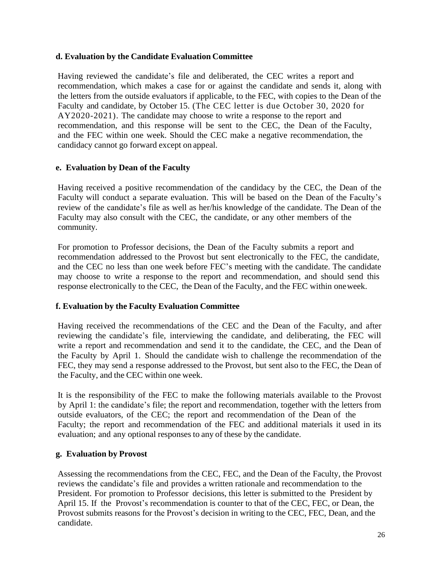## **d. Evaluation by the Candidate Evaluation Committee**

Having reviewed the candidate's file and deliberated, the CEC writes a report and recommendation, which makes a case for or against the candidate and sends it, along with the letters from the outside evaluators if applicable, to the FEC, with copies to the Dean of the Faculty and candidate, by October 15. (The CEC letter is due October 30, 2020 for AY2020-2021). The candidate may choose to write a response to the report and recommendation, and this response will be sent to the CEC, the Dean of the Faculty, and the FEC within one week. Should the CEC make a negative recommendation, the candidacy cannot go forward except on appeal.

## **e. Evaluation by Dean of the Faculty**

Having received a positive recommendation of the candidacy by the CEC, the Dean of the Faculty will conduct a separate evaluation. This will be based on the Dean of the Faculty's review of the candidate's file as well as her/his knowledge of the candidate. The Dean of the Faculty may also consult with the CEC, the candidate, or any other members of the community.

For promotion to Professor decisions, the Dean of the Faculty submits a report and recommendation addressed to the Provost but sent electronically to the FEC, the candidate, and the CEC no less than one week before FEC's meeting with the candidate. The candidate may choose to write a response to the report and recommendation, and should send this response electronically to the CEC, the Dean of the Faculty, and the FEC within oneweek.

## **f. Evaluation by the Faculty Evaluation Committee**

Having received the recommendations of the CEC and the Dean of the Faculty, and after reviewing the candidate's file, interviewing the candidate, and deliberating, the FEC will write a report and recommendation and send it to the candidate, the CEC, and the Dean of the Faculty by April 1. Should the candidate wish to challenge the recommendation of the FEC, they may send a response addressed to the Provost, but sent also to the FEC, the Dean of the Faculty, and the CEC within one week.

It is the responsibility of the FEC to make the following materials available to the Provost by April 1: the candidate's file; the report and recommendation, together with the letters from outside evaluators, of the CEC; the report and recommendation of the Dean of the Faculty; the report and recommendation of the FEC and additional materials it used in its evaluation; and any optional responses to any of these by the candidate.

## **g. Evaluation by Provost**

Assessing the recommendations from the CEC, FEC, and the Dean of the Faculty, the Provost reviews the candidate's file and provides a written rationale and recommendation to the President. For promotion to Professor decisions, this letter is submitted to the President by April 15. If the Provost's recommendation is counter to that of the CEC, FEC, or Dean, the Provost submits reasons for the Provost's decision in writing to the CEC, FEC, Dean, and the candidate.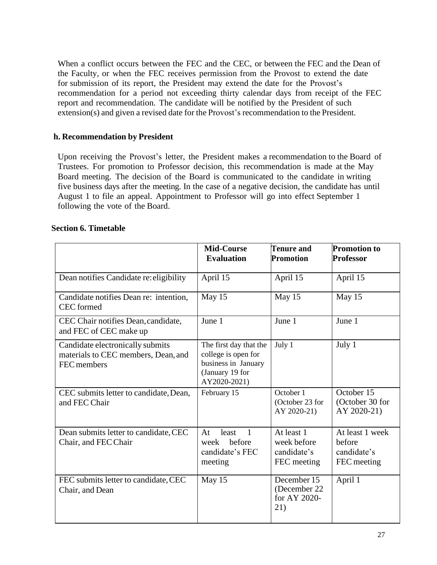When a conflict occurs between the FEC and the CEC, or between the FEC and the Dean of the Faculty, or when the FEC receives permission from the Provost to extend the date for submission of its report, the President may extend the date for the Provost's recommendation for a period not exceeding thirty calendar days from receipt of the FEC report and recommendation. The candidate will be notified by the President of such extension(s) and given a revised date for the Provost's recommendation to the President.

## **h. Recommendation by President**

Upon receiving the Provost's letter, the President makes a recommendation to the Board of Trustees. For promotion to Professor decision, this recommendation is made at the May Board meeting. The decision of the Board is communicated to the candidate in writing five business days after the meeting. In the case of a negative decision, the candidate has until August 1 to file an appeal. Appointment to Professor will go into effect September 1 following the vote of the Board.

#### **Section 6. Timetable**

|                                                                                        | <b>Mid-Course</b><br><b>Evaluation</b>                                                                  | Tenure and<br>Promotion                                 | <b>Promotion to</b><br><b>Professor</b>                 |
|----------------------------------------------------------------------------------------|---------------------------------------------------------------------------------------------------------|---------------------------------------------------------|---------------------------------------------------------|
| Dean notifies Candidate re: eligibility                                                | April 15                                                                                                | April 15                                                | April 15                                                |
| Candidate notifies Dean re: intention,<br><b>CEC</b> formed                            | May 15                                                                                                  | May 15                                                  | May 15                                                  |
| CEC Chair notifies Dean, candidate,<br>and FEC of CEC make up                          | June 1                                                                                                  | June 1                                                  | June 1                                                  |
| Candidate electronically submits<br>materials to CEC members, Dean, and<br>FEC members | The first day that the<br>college is open for<br>business in January<br>(January 19 for<br>AY2020-2021) | July 1                                                  | July 1                                                  |
| CEC submits letter to candidate, Dean,<br>and FEC Chair                                | February 15                                                                                             | October 1<br>(October 23 for<br>AY 2020-21)             | October 15<br>(October 30 for<br>AY 2020-21)            |
| Dean submits letter to candidate, CEC<br>Chair, and FEC Chair                          | least<br>$\overline{1}$<br>At<br>before<br>week<br>candidate's FEC<br>meeting                           | At least 1<br>week before<br>candidate's<br>FEC meeting | At least 1 week<br>before<br>candidate's<br>FEC meeting |
| FEC submits letter to candidate, CEC<br>Chair, and Dean                                | May 15                                                                                                  | December 15<br>(December 22)<br>for AY 2020-<br>21)     | April 1                                                 |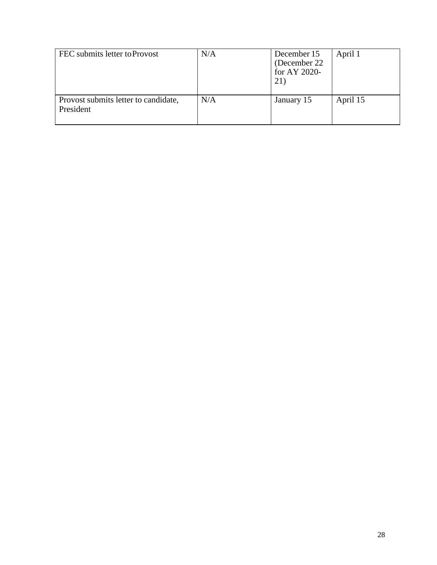| FEC submits letter to Provost                     | N/A | December 15<br>(December 22)<br>for AY 2020-<br>21) | April 1  |
|---------------------------------------------------|-----|-----------------------------------------------------|----------|
| Provost submits letter to candidate,<br>President | N/A | January 15                                          | April 15 |